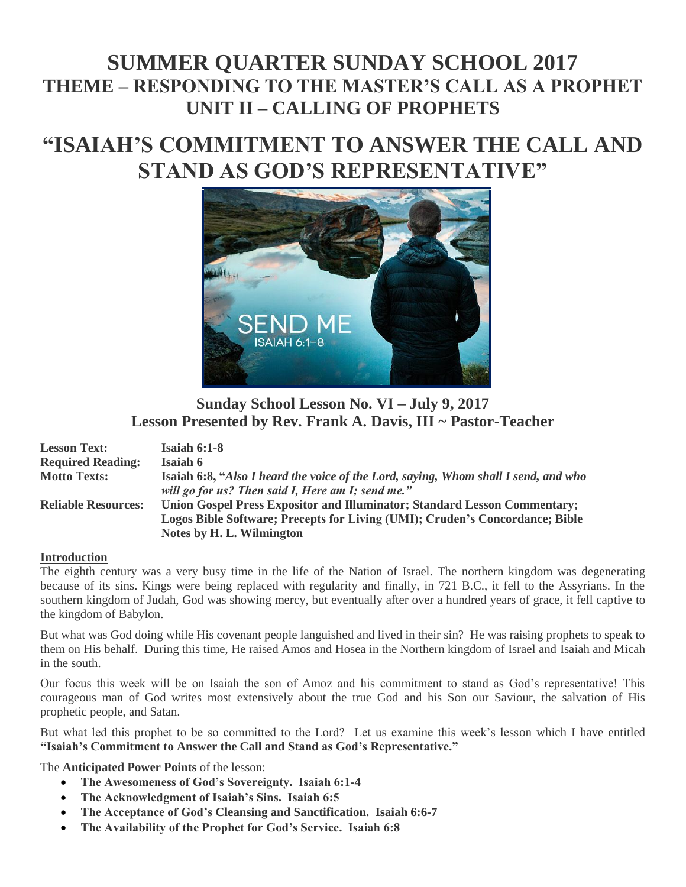# **SUMMER QUARTER SUNDAY SCHOOL 2017 THEME – RESPONDING TO THE MASTER'S CALL AS A PROPHET UNIT II – CALLING OF PROPHETS**

# **"ISAIAH'S COMMITMENT TO ANSWER THE CALL AND STAND AS GOD'S REPRESENTATIVE"**



# **Sunday School Lesson No. VI – July 9, 2017 Lesson Presented by Rev. Frank A. Davis, III ~ Pastor-Teacher**

| <b>Lesson Text:</b>        | Isaiah $6:1-8$                                                                      |
|----------------------------|-------------------------------------------------------------------------------------|
| <b>Required Reading:</b>   | Isaiah 6                                                                            |
| <b>Motto Texts:</b>        | Isaiah 6:8, "Also I heard the voice of the Lord, saying, Whom shall I send, and who |
|                            | will go for us? Then said I, Here am I; send me."                                   |
| <b>Reliable Resources:</b> | Union Gospel Press Expositor and Illuminator; Standard Lesson Commentary;           |
|                            | Logos Bible Software; Precepts for Living (UMI); Cruden's Concordance; Bible        |
|                            | Notes by H. L. Wilmington                                                           |

# **Introduction**

The eighth century was a very busy time in the life of the Nation of Israel. The northern kingdom was degenerating because of its sins. Kings were being replaced with regularity and finally, in 721 B.C., it fell to the Assyrians. In the southern kingdom of Judah, God was showing mercy, but eventually after over a hundred years of grace, it fell captive to the kingdom of Babylon.

But what was God doing while His covenant people languished and lived in their sin? He was raising prophets to speak to them on His behalf. During this time, He raised Amos and Hosea in the Northern kingdom of Israel and Isaiah and Micah in the south.

Our focus this week will be on Isaiah the son of Amoz and his commitment to stand as God's representative! This courageous man of God writes most extensively about the true God and his Son our Saviour, the salvation of His prophetic people, and Satan.

But what led this prophet to be so committed to the Lord? Let us examine this week's lesson which I have entitled **"Isaiah's Commitment to Answer the Call and Stand as God's Representative."** 

The **Anticipated Power Points** of the lesson:

- **The Awesomeness of God's Sovereignty. Isaiah 6:1-4**
- **The Acknowledgment of Isaiah's Sins. Isaiah 6:5**
- **The Acceptance of God's Cleansing and Sanctification. Isaiah 6:6-7**
- **The Availability of the Prophet for God's Service. Isaiah 6:8**